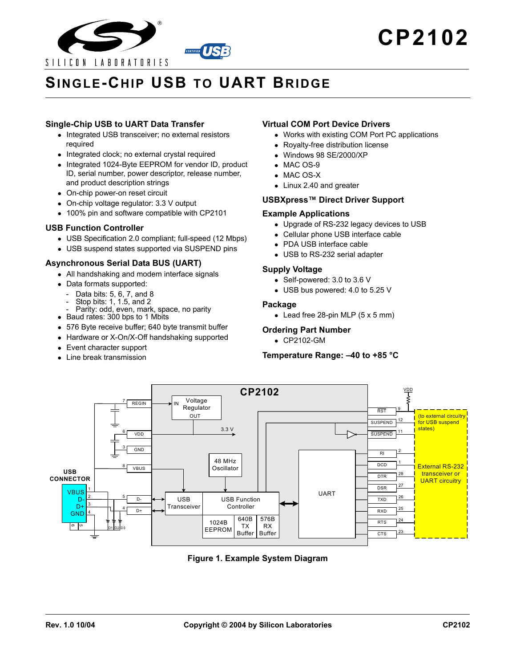

# **SINGLE-CHIP USB TO UART BRIDGE**

## **Single-Chip USB to UART Data Transfer**

- Integrated USB transceiver; no external resistors required
- $\bullet$  Integrated clock; no external crystal required
- Integrated 1024-Byte EEPROM for vendor ID, product ID, serial number, power descriptor, release number, and product description strings
- On-chip power-on reset circuit
- On-chip voltage regulator: 3.3 V output
- 100% pin and software compatible with CP2101

#### **USB Function Controller**

- USB Specification 2.0 compliant: full-speed (12 Mbps)
- USB suspend states supported via SUSPEND pins

#### **Asynchronous Serial Data BUS (UART)**

- All handshaking and modem interface signals
- Data formats supported:
	- Data bits: 5, 6, 7, and 8
	- Stop bits: 1, 1.5, and 2
- Parity: odd, even, mark, space, no parity
- $\bullet$  Baud rates: 300 bps to 1 Mbits
- 576 Byte receive buffer; 640 byte transmit buffer
- Hardware or X-On/X-Off handshaking supported
- Event character support
- $\bullet$  Line break transmission

## **Virtual COM Port Device Drivers**

- Works with existing COM Port PC applications
- Royalty-free distribution license
- $\bullet$  Windows 98 SE/2000/XP
- $MAC$   $OS-9$
- $\bullet$  MAC OS-X
- $\bullet$  Linux 2.40 and greater

## **USBXpress™ Direct Driver Support**

## **Example Applications**

- Upgrade of RS-232 legacy devices to USB
- Cellular phone USB interface cable
- PDA USB interface cable
- USB to RS-232 serial adapter

#### **Supply Voltage**

- $\bullet$  Self-powered: 3.0 to 3.6 V
- $\bullet$  USB bus powered: 4.0 to 5.25 V

## **Package**

• Lead free 28-pin MLP  $(5 \times 5 \text{ mm})$ 

#### **Ordering Part Number**

 $\bullet$  CP2102-GM

#### **Temperature Range: –40 to +85 °C**



**Figure 1. Example System Diagram**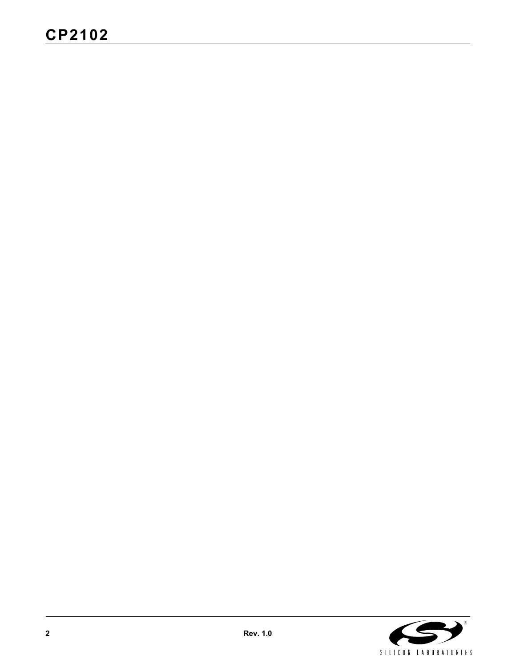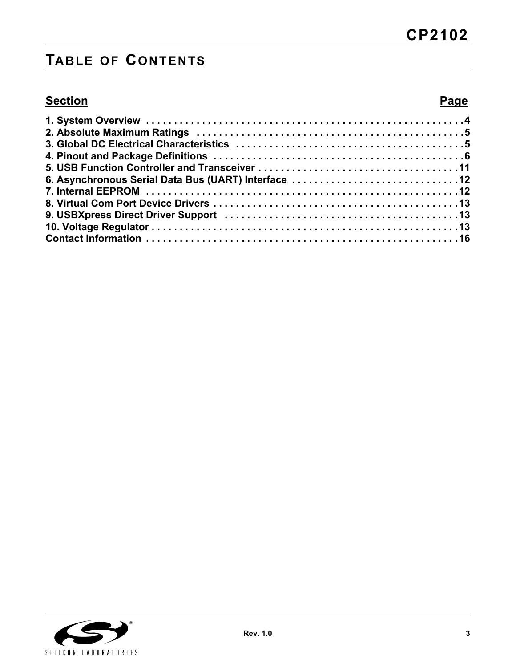# **TABLE OF CONTENTS**

# **Section Page**

| 6. Asynchronous Serial Data Bus (UART) Interface 12 |  |
|-----------------------------------------------------|--|
|                                                     |  |
|                                                     |  |
|                                                     |  |
|                                                     |  |
|                                                     |  |

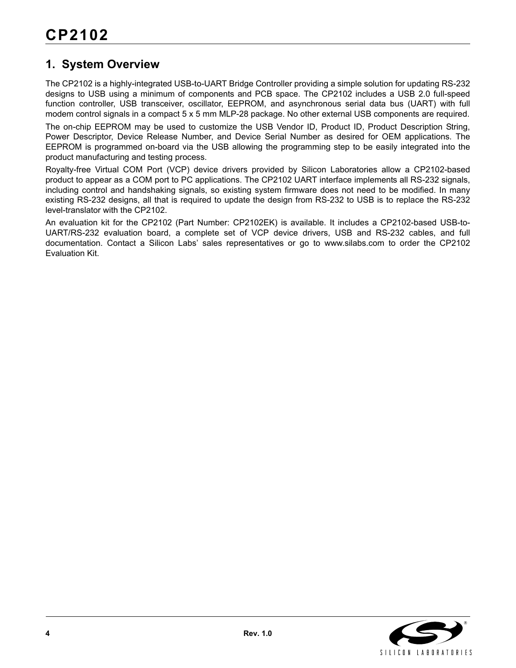# <span id="page-3-0"></span>**1. System Overview**

The CP2102 is a highly-integrated USB-to-UART Bridge Controller providing a simple solution for updating RS-232 designs to USB using a minimum of components and PCB space. The CP2102 includes a USB 2.0 full-speed function controller, USB transceiver, oscillator, EEPROM, and asynchronous serial data bus (UART) with full modem control signals in a compact 5 x 5 mm MLP-28 package. No other external USB components are required.

The on-chip EEPROM may be used to customize the USB Vendor ID, Product ID, Product Description String, Power Descriptor, Device Release Number, and Device Serial Number as desired for OEM applications. The EEPROM is programmed on-board via the USB allowing the programming step to be easily integrated into the product manufacturing and testing process.

Royalty-free Virtual COM Port (VCP) device drivers provided by Silicon Laboratories allow a CP2102-based product to appear as a COM port to PC applications. The CP2102 UART interface implements all RS-232 signals, including control and handshaking signals, so existing system firmware does not need to be modified. In many existing RS-232 designs, all that is required to update the design from RS-232 to USB is to replace the RS-232 level-translator with the CP2102.

An evaluation kit for the CP2102 (Part Number: CP2102EK) is available. It includes a CP2102-based USB-to-UART/RS-232 evaluation board, a complete set of VCP device drivers, USB and RS-232 cables, and full documentation. Contact a Silicon Labs' sales representatives or go to www.silabs.com to order the CP2102 Evaluation Kit.

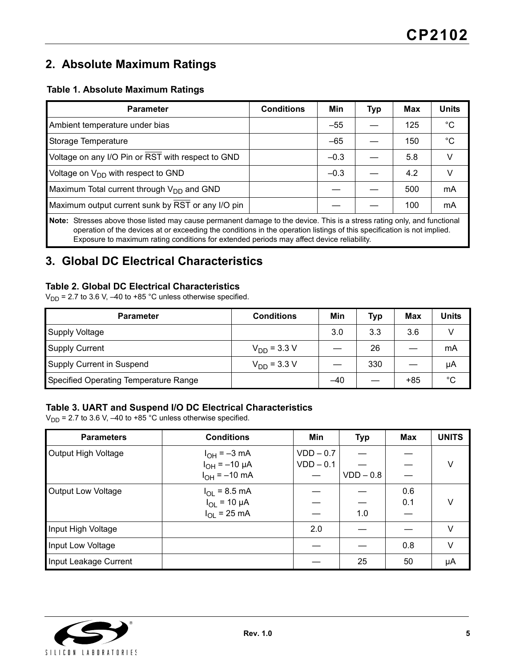# <span id="page-4-0"></span>**2. Absolute Maximum Ratings**

## **Table 1. Absolute Maximum Ratings**

| <b>Parameter</b>                                                                                                                                                                                                                                                                                                                                 | <b>Conditions</b> | Min    | <b>Typ</b> | Max | <b>Units</b> |  |
|--------------------------------------------------------------------------------------------------------------------------------------------------------------------------------------------------------------------------------------------------------------------------------------------------------------------------------------------------|-------------------|--------|------------|-----|--------------|--|
| Ambient temperature under bias                                                                                                                                                                                                                                                                                                                   |                   | $-55$  |            | 125 | °C           |  |
| Storage Temperature                                                                                                                                                                                                                                                                                                                              |                   | $-65$  |            | 150 | $^{\circ}C$  |  |
| Voltage on any I/O Pin or RST with respect to GND                                                                                                                                                                                                                                                                                                |                   | $-0.3$ |            | 5.8 |              |  |
| Voltage on V <sub>DD</sub> with respect to GND                                                                                                                                                                                                                                                                                                   |                   | $-0.3$ |            | 4.2 |              |  |
| Maximum Total current through V <sub>DD</sub> and GND                                                                                                                                                                                                                                                                                            |                   |        |            | 500 | mA           |  |
| Maximum output current sunk by RST or any I/O pin                                                                                                                                                                                                                                                                                                |                   |        |            | 100 | mA           |  |
| Note: Stresses above those listed may cause permanent damage to the device. This is a stress rating only, and functional<br>operation of the devices at or exceeding the conditions in the operation listings of this specification is not implied.<br>Exposure to maximum rating conditions for extended periods may affect device reliability. |                   |        |            |     |              |  |

# <span id="page-4-1"></span>**3. Global DC Electrical Characteristics**

## **Table 2. Global DC Electrical Characteristics**

 $V_{DD}$  = 2.7 to 3.6 V, –40 to +85 °C unless otherwise specified.

| <b>Parameter</b>                      | <b>Conditions</b> | Min   | Typ | Max | Units       |
|---------------------------------------|-------------------|-------|-----|-----|-------------|
| <b>Supply Voltage</b>                 |                   | 3.0   | 3.3 | 3.6 |             |
| <b>Supply Current</b>                 | $V_{DD}$ = 3.3 V  |       | 26  |     | mA          |
| Supply Current in Suspend             | $V_{DD}$ = 3.3 V  |       | 330 |     | μA          |
| Specified Operating Temperature Range |                   | $-40$ |     | +85 | $^{\circ}C$ |

## **Table 3. UART and Suspend I/O DC Electrical Characteristics**

 $V_{DD}$  = 2.7 to 3.6 V, –40 to +85 °C unless otherwise specified.

| <b>Parameters</b>     | <b>Conditions</b>                                             | Min                        | <b>Typ</b>  | <b>Max</b> | <b>UNITS</b> |
|-----------------------|---------------------------------------------------------------|----------------------------|-------------|------------|--------------|
| Output High Voltage   | $I_{OH} = -3$ mA<br>$I_{OH} = -10 \mu A$<br>$I_{OH} = -10$ mA | $VDD - 0.7$<br>$VDD - 0.1$ | $VDD - 0.8$ |            | V            |
| Output Low Voltage    | $I_{OL}$ = 8.5 mA<br>$I_{OL}$ = 10 µA<br>$I_{OL}$ = 25 mA     |                            | 1.0         | 0.6<br>0.1 | V            |
| Input High Voltage    |                                                               | 2.0                        |             |            |              |
| Input Low Voltage     |                                                               |                            |             | 0.8        | V            |
| Input Leakage Current |                                                               |                            | 25          | 50         | μA           |

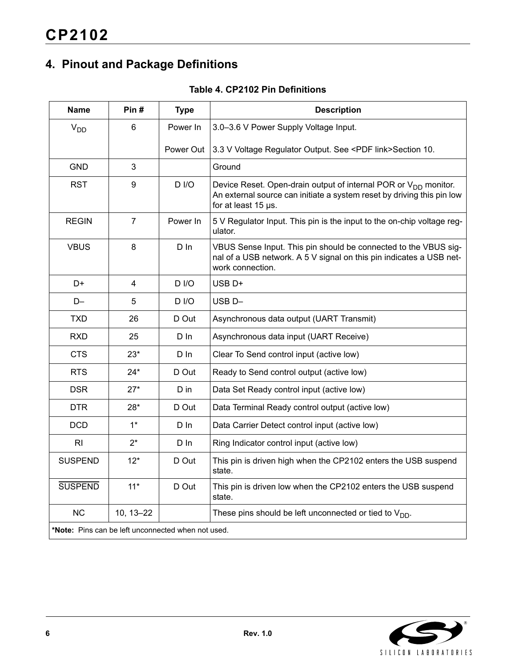# <span id="page-5-0"></span>**4. Pinout and Package Definitions**

| <b>Name</b>                                        | Pin#           | <b>Type</b> | <b>Description</b>                                                                                                                                                           |  |
|----------------------------------------------------|----------------|-------------|------------------------------------------------------------------------------------------------------------------------------------------------------------------------------|--|
| V <sub>DD</sub>                                    | $6\phantom{1}$ | Power In    | 3.0-3.6 V Power Supply Voltage Input.                                                                                                                                        |  |
|                                                    |                | Power Out   | 3.3 V Voltage Regulator Output. See <pdf link="">Section 10.</pdf>                                                                                                           |  |
| <b>GND</b>                                         | 3              |             | Ground                                                                                                                                                                       |  |
| <b>RST</b>                                         | 9              | D I/O       | Device Reset. Open-drain output of internal POR or V <sub>DD</sub> monitor.<br>An external source can initiate a system reset by driving this pin low<br>for at least 15 µs. |  |
| <b>REGIN</b>                                       | $\overline{7}$ | Power In    | 5 V Regulator Input. This pin is the input to the on-chip voltage reg-<br>ulator.                                                                                            |  |
| <b>VBUS</b>                                        | 8              | D In        | VBUS Sense Input. This pin should be connected to the VBUS sig-<br>nal of a USB network. A 5 V signal on this pin indicates a USB net-<br>work connection.                   |  |
| D+                                                 | 4              | D I/O       | USB D+                                                                                                                                                                       |  |
| $D-$                                               | 5              | D I/O       | USB <sub>D</sub>                                                                                                                                                             |  |
| TXD                                                | 26             | D Out       | Asynchronous data output (UART Transmit)                                                                                                                                     |  |
| <b>RXD</b>                                         | 25             | D In        | Asynchronous data input (UART Receive)                                                                                                                                       |  |
| <b>CTS</b>                                         | $23*$          | D In        | Clear To Send control input (active low)                                                                                                                                     |  |
| <b>RTS</b>                                         | $24*$          | D Out       | Ready to Send control output (active low)                                                                                                                                    |  |
| <b>DSR</b>                                         | $27*$          | D in        | Data Set Ready control input (active low)                                                                                                                                    |  |
| DTR.                                               | 28*            | D Out       | Data Terminal Ready control output (active low)                                                                                                                              |  |
| <b>DCD</b>                                         | $1^*$          | D In        | Data Carrier Detect control input (active low)                                                                                                                               |  |
| R <sub>l</sub>                                     | $2^*$          | D In        | Ring Indicator control input (active low)                                                                                                                                    |  |
| <b>SUSPEND</b>                                     | $12*$          | D Out       | This pin is driven high when the CP2102 enters the USB suspend<br>state.                                                                                                     |  |
| <b>SUSPEND</b>                                     | $11*$          | D Out       | This pin is driven low when the CP2102 enters the USB suspend<br>state.                                                                                                      |  |
| <b>NC</b>                                          | $10, 13 - 22$  |             | These pins should be left unconnected or tied to $V_{DD}$ .                                                                                                                  |  |
| *Note: Pins can be left unconnected when not used. |                |             |                                                                                                                                                                              |  |

## **Table 4. CP2102 Pin Definitions**

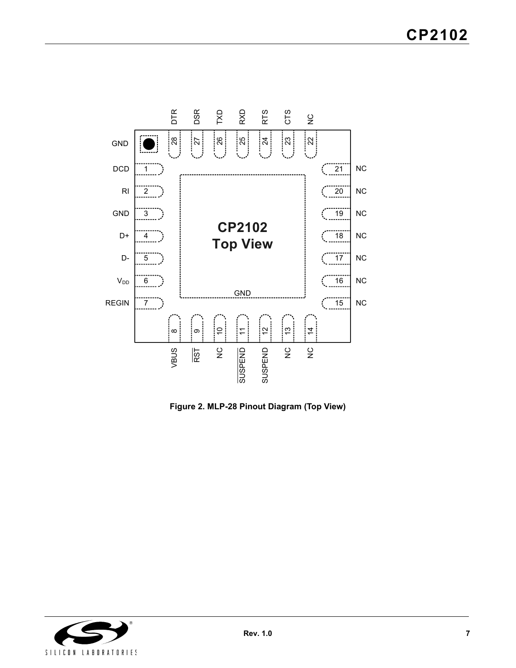

**Figure 2. MLP-28 Pinout Diagram (Top View)**

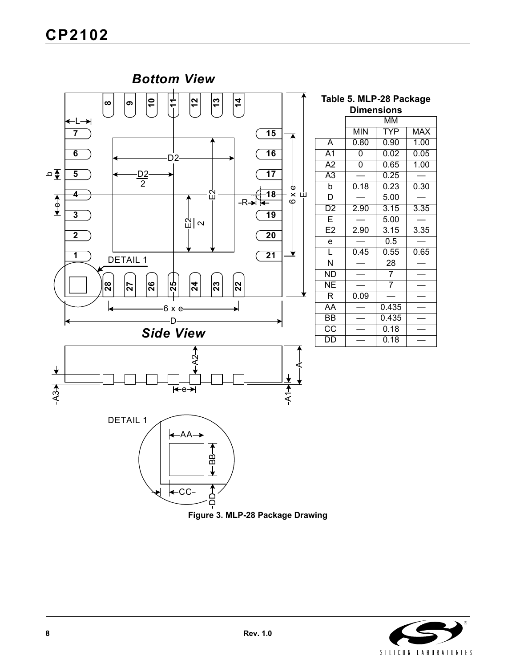

**Figure 3. MLP-28 Package Drawing**

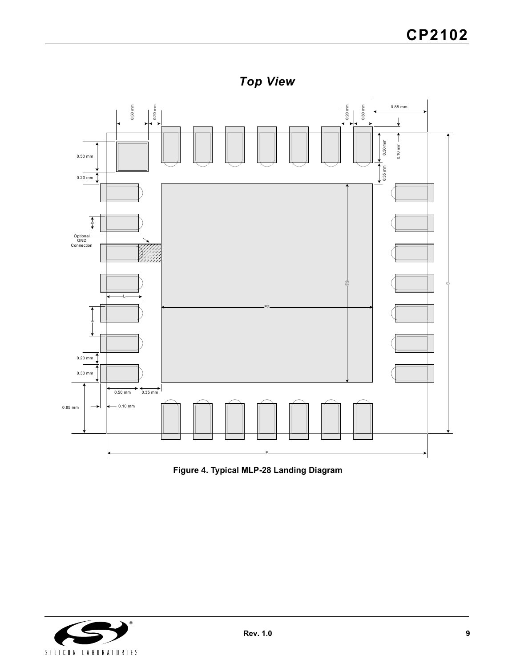0.50 mm  $\begin{bmatrix} 0.20 \text{ mm} \\ 0.20 \text{ mm} \end{bmatrix}$ 0.30 mm 0.85 mm 0.20 mm  $\downarrow$ 0.50 mm 0.10 mm 0.50 mm0.35 mm  $0.20 \text{ mm}$ b Optional GND Connection  $^{\circ}$ DL E2  $\overline{0.20 \text{ mm}}$ 0.30 mm  $\left|\leftarrowright>$  0.35 mm 0.50 mm  $-0.10$  mm 0.85 mm E

*Top View*

**Figure 4. Typical MLP-28 Landing Diagram**

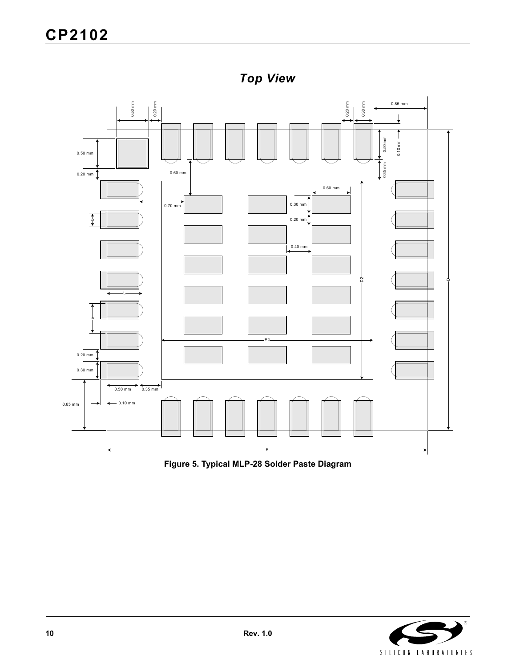

*Top View*

**Figure 5. Typical MLP-28 Solder Paste Diagram**

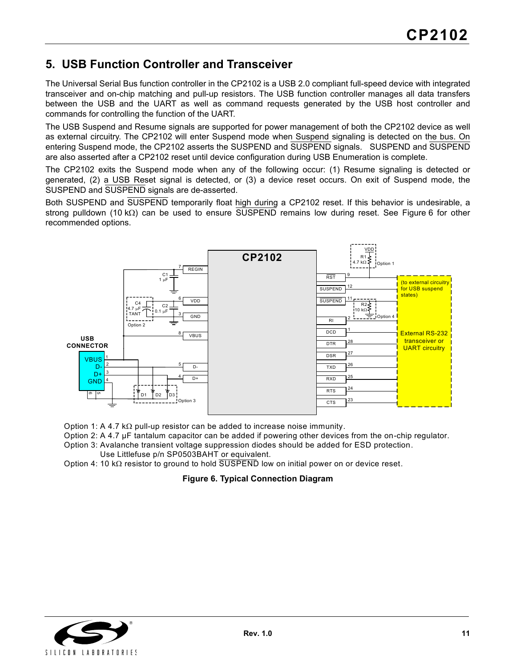## <span id="page-10-0"></span>**5. USB Function Controller and Transceiver**

The Universal Serial Bus function controller in the CP2102 is a USB 2.0 compliant full-speed device with integrated transceiver and on-chip matching and pull-up resistors. The USB function controller manages all data transfers between the USB and the UART as well as command requests generated by the USB host controller and commands for controlling the function of the UART.

The USB Suspend and Resume signals are supported for power management of both the CP2102 device as well as external circuitry. The CP2102 will enter Suspend mode when Suspend signaling is detected on the bus. On entering Suspend mode, the CP2102 asserts the SUSPEND and SUSPEND signals. SUSPEND and SUSPEND are also asserted after a CP2102 reset until device configuration during USB Enumeration is complete.

The CP2102 exits the Suspend mode when any of the following occur: (1) Resume signaling is detected or generated, (2) a USB Reset signal is detected, or (3) a device reset occurs. On exit of Suspend mode, the SUSPEND and SUSPEND signals are de-asserted.

Both SUSPEND and SUSPEND temporarily float high during a CP2102 reset. If this behavior is undesirable, a strong pulldown (10 kΩ) can be used to ensure SUSPEND remains low during reset. See [Figure 6](#page-10-1) for other recommended options.



Option 1: A 4.7 k $\Omega$  pull-up resistor can be added to increase noise immunity.

Option 2: A 4.7 µF tantalum capacitor can be added if powering other devices from the on-chip regulator.

Option 3: Avalanche transient voltage suppression diodes should be added for ESD protection. Use Littlefuse p/n SP0503BAHT or equivalent.

<span id="page-10-1"></span>Option 4: 10 kΩ resistor to ground to hold SUSPEND low on initial power on or device reset.

## **Figure 6. Typical Connection Diagram**

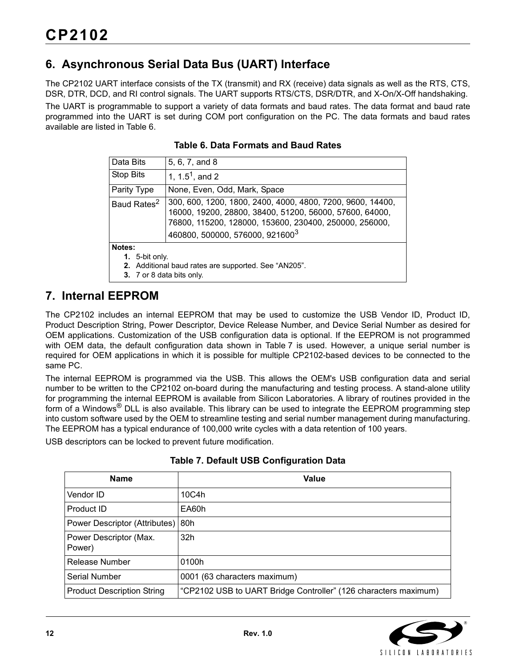# <span id="page-11-0"></span>**6. Asynchronous Serial Data Bus (UART) Interface**

The CP2102 UART interface consists of the TX (transmit) and RX (receive) data signals as well as the RTS, CTS, DSR, DTR, DCD, and RI control signals. The UART supports RTS/CTS, DSR/DTR, and X-On/X-Off handshaking.

<span id="page-11-2"></span>The UART is programmable to support a variety of data formats and baud rates. The data format and baud rate programmed into the UART is set during COM port configuration on the PC. The data formats and baud rates available are listed in [Table 6](#page-11-2).

| Data Bits                                            | 5, 6, 7, and 8                                                                                                                                                                                                     |  |  |  |  |
|------------------------------------------------------|--------------------------------------------------------------------------------------------------------------------------------------------------------------------------------------------------------------------|--|--|--|--|
| Stop Bits                                            | 1, $1.5^1$ , and 2                                                                                                                                                                                                 |  |  |  |  |
| Parity Type                                          | None, Even, Odd, Mark, Space                                                                                                                                                                                       |  |  |  |  |
| Baud Rates <sup>2</sup>                              | 300, 600, 1200, 1800, 2400, 4000, 4800, 7200, 9600, 14400,<br>16000, 19200, 28800, 38400, 51200, 56000, 57600, 64000,<br>76800, 115200, 128000, 153600, 230400, 250000, 256000,<br>460800, 500000, 576000, 9216003 |  |  |  |  |
| Notes:                                               |                                                                                                                                                                                                                    |  |  |  |  |
| 1. 5-bit only.                                       |                                                                                                                                                                                                                    |  |  |  |  |
| 2. Additional baud rates are supported. See "AN205". |                                                                                                                                                                                                                    |  |  |  |  |
| 3. 7 or 8 data bits only.                            |                                                                                                                                                                                                                    |  |  |  |  |

**Table 6. Data Formats and Baud Rates**

# <span id="page-11-1"></span>**7. Internal EEPROM**

The CP2102 includes an internal EEPROM that may be used to customize the USB Vendor ID, Product ID, Product Description String, Power Descriptor, Device Release Number, and Device Serial Number as desired for OEM applications. Customization of the USB configuration data is optional. If the EEPROM is not programmed with OEM data, the default configuration data shown in [Table 7](#page-11-3) is used. However, a unique serial number is required for OEM applications in which it is possible for multiple CP2102-based devices to be connected to the same PC.

The internal EEPROM is programmed via the USB. This allows the OEM's USB configuration data and serial number to be written to the CP2102 on-board during the manufacturing and testing process. A stand-alone utility for programming the internal EEPROM is available from Silicon Laboratories. A library of routines provided in the form of a Windows<sup>®</sup> DLL is also available. This library can be used to integrate the EEPROM programming step into custom software used by the OEM to streamline testing and serial number management during manufacturing. The EEPROM has a typical endurance of 100,000 write cycles with a data retention of 100 years.

<span id="page-11-3"></span>USB descriptors can be locked to prevent future modification.

| <b>Name</b>                       | Value                                                           |
|-----------------------------------|-----------------------------------------------------------------|
| Vendor ID                         | 10C4h                                                           |
| Product ID                        | EA60h                                                           |
| Power Descriptor (Attributes) 80h |                                                                 |
| Power Descriptor (Max.<br>Power)  | 32h                                                             |
| Release Number                    | 0100h                                                           |
| Serial Number                     | 0001 (63 characters maximum)                                    |
| <b>Product Description String</b> | "CP2102 USB to UART Bridge Controller" (126 characters maximum) |

## **Table 7. Default USB Configuration Data**

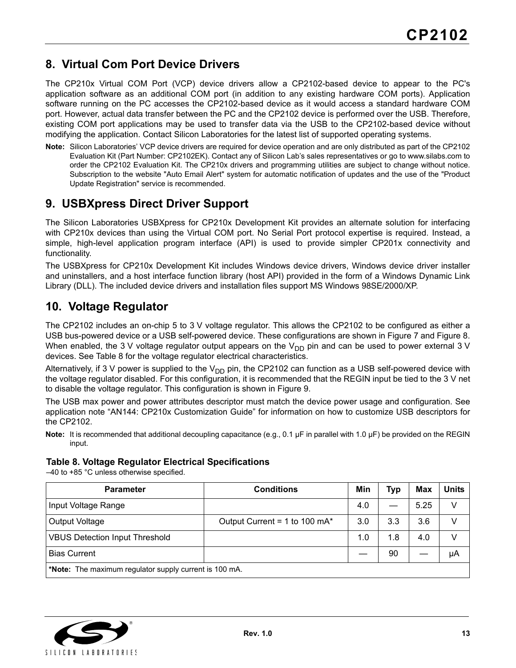# <span id="page-12-0"></span>**8. Virtual Com Port Device Drivers**

The CP210x Virtual COM Port (VCP) device drivers allow a CP2102-based device to appear to the PC's application software as an additional COM port (in addition to any existing hardware COM ports). Application software running on the PC accesses the CP2102-based device as it would access a standard hardware COM port. However, actual data transfer between the PC and the CP2102 device is performed over the USB. Therefore, existing COM port applications may be used to transfer data via the USB to the CP2102-based device without modifying the application. Contact Silicon Laboratories for the latest list of supported operating systems.

**Note:** Silicon Laboratories' VCP device drivers are required for device operation and are only distributed as part of the CP2102 Evaluation Kit (Part Number: CP2102EK). Contact any of Silicon Lab's sales representatives or go to www.silabs.com to order the CP2102 Evaluation Kit. The CP210x drivers and programming utilities are subject to change without notice. Subscription to the website "Auto Email Alert" system for automatic notification of updates and the use of the "Product Update Registration" service is recommended.

## <span id="page-12-1"></span>**9. USBXpress Direct Driver Support**

The Silicon Laboratories USBXpress for CP210x Development Kit provides an alternate solution for interfacing with CP210x devices than using the Virtual COM port. No Serial Port protocol expertise is required. Instead, a simple, high-level application program interface (API) is used to provide simpler CP201x connectivity and functionality.

The USBXpress for CP210x Development Kit includes Windows device drivers, Windows device driver installer and uninstallers, and a host interface function library (host API) provided in the form of a Windows Dynamic Link Library (DLL). The included device drivers and installation files support MS Windows 98SE/2000/XP.

## <span id="page-12-2"></span>**10. Voltage Regulator**

The CP2102 includes an on-chip 5 to 3 V voltage regulator. This allows the CP2102 to be configured as either a USB bus-powered device or a USB self-powered device. These configurations are shown in [Figure 7](#page-13-0) and [Figure 8](#page-13-1). When enabled, the 3 V voltage regulator output appears on the  $V_{DD}$  pin and can be used to power external 3 V devices. See [Table 8](#page-12-3) for the voltage regulator electrical characteristics.

Alternatively, if 3 V power is supplied to the  $V_{DD}$  pin, the CP2102 can function as a USB self-powered device with the voltage regulator disabled. For this configuration, it is recommended that the REGIN input be tied to the 3 V net to disable the voltage regulator. This configuration is shown in [Figure 9](#page-14-0).

The USB max power and power attributes descriptor must match the device power usage and configuration. See application note "AN144: CP210x Customization Guide" for information on how to customize USB descriptors for the CP2102.

**Note:** It is recommended that additional decoupling capacitance (e.g., 0.1 µF in parallel with 1.0 µF) be provided on the REGIN input.

## <span id="page-12-3"></span>**Table 8. Voltage Regulator Electrical Specifications**

–40 to +85 °C unless otherwise specified.

| <b>Parameter</b>                                       | <b>Conditions</b>             | Min | <b>Typ</b> | Max  | Units |
|--------------------------------------------------------|-------------------------------|-----|------------|------|-------|
| Input Voltage Range                                    |                               | 4.0 |            | 5.25 | V     |
| Output Voltage                                         | Output Current = 1 to 100 mA* | 3.0 | 3.3        | 3.6  | V     |
| <b>VBUS Detection Input Threshold</b>                  |                               | 1.0 | 1.8        | 4.0  | V     |
| <b>Bias Current</b>                                    |                               |     | 90         |      | μA    |
| *Note: The maximum regulator supply current is 100 mA. |                               |     |            |      |       |

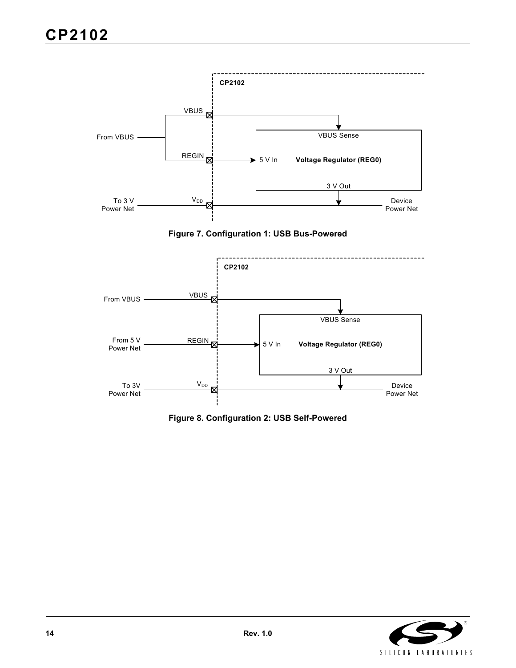



<span id="page-13-0"></span>

<span id="page-13-1"></span>**Figure 8. Configuration 2: USB Self-Powered**

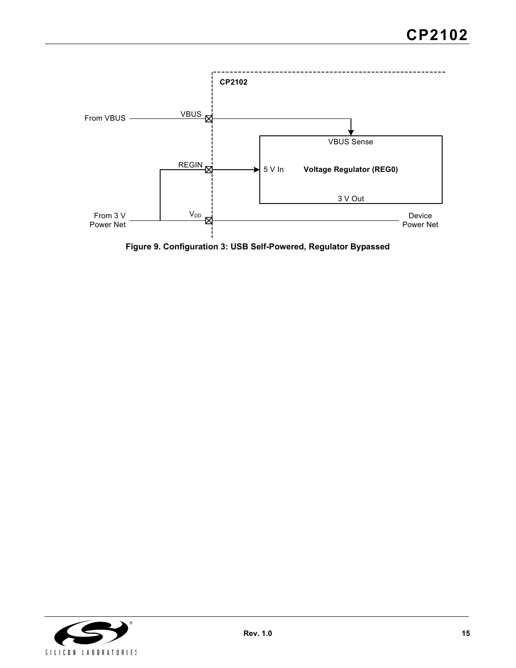

<span id="page-14-0"></span>**Figure 9. Configuration 3: USB Self-Powered, Regulator Bypassed**